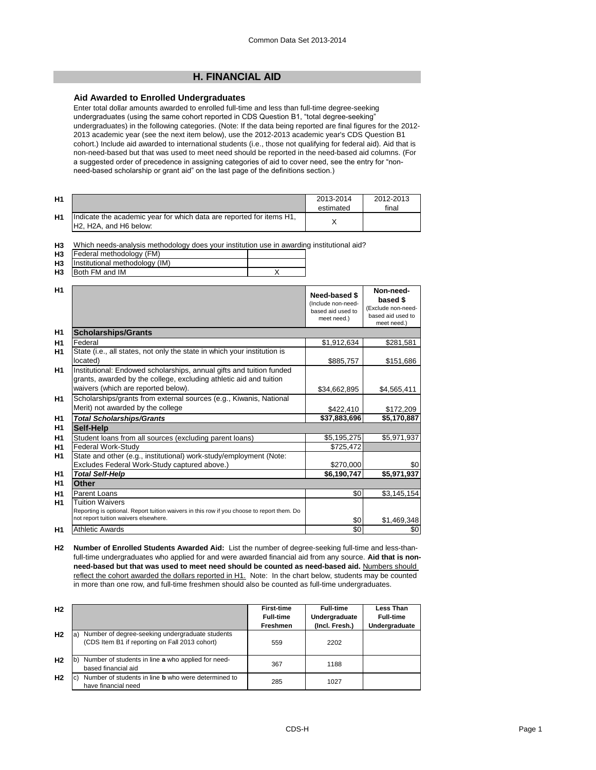# **H. FINANCIAL AID**

## **Aid Awarded to Enrolled Undergraduates**

Enter total dollar amounts awarded to enrolled full-time and less than full-time degree-seeking undergraduates (using the same cohort reported in CDS Question B1, "total degree-seeking" undergraduates) in the following categories. (Note: If the data being reported are final figures for the 2012- 2013 academic year (see the next item below), use the 2012-2013 academic year's CDS Question B1 cohort.) Include aid awarded to international students (i.e., those not qualifying for federal aid). Aid that is non-need-based but that was used to meet need should be reported in the need-based aid columns. (For a suggested order of precedence in assigning categories of aid to cover need, see the entry for "nonneed-based scholarship or grant aid" on the last page of the definitions section.)

| H1 |                                                                                                                                      | 2013-2014<br>estimated | 2012-2013<br>final |
|----|--------------------------------------------------------------------------------------------------------------------------------------|------------------------|--------------------|
| H1 | Indicate the academic year for which data are reported for items H1,<br>H <sub>2</sub> , H <sub>2</sub> A, and H <sub>6</sub> below: |                        |                    |

**H3** Which needs-analysis methodology does your institution use in awarding institutional aid?

| H <sub>3</sub> | Federal methodology (FM)          |  |
|----------------|-----------------------------------|--|
|                | H3 Institutional methodology (IM) |  |
| <b>H</b>       | Roth FM and IM                    |  |

**H3** Both FM and IM  $\overline{X}$ 

| H <sub>1</sub> |                                                                                                                                                                                   | Need-based \$<br>(Include non-need-<br>based aid used to<br>meet need.) | Non-need-<br>based \$<br>(Exclude non-need-<br>based aid used to<br>meet need.) |
|----------------|-----------------------------------------------------------------------------------------------------------------------------------------------------------------------------------|-------------------------------------------------------------------------|---------------------------------------------------------------------------------|
| H1             | <b>Scholarships/Grants</b>                                                                                                                                                        |                                                                         |                                                                                 |
| H1             | Federal                                                                                                                                                                           | \$1,912,634                                                             | \$281,581                                                                       |
| H <sub>1</sub> | State (i.e., all states, not only the state in which your institution is<br>located)                                                                                              | \$885,757                                                               | \$151,686                                                                       |
| H <sub>1</sub> | Institutional: Endowed scholarships, annual gifts and tuition funded<br>grants, awarded by the college, excluding athletic aid and tuition<br>waivers (which are reported below). | \$34,662,895                                                            | \$4,565,411                                                                     |
| H1             | Scholarships/grants from external sources (e.g., Kiwanis, National<br>Merit) not awarded by the college                                                                           | \$422,410                                                               | \$172,209                                                                       |
| <b>H1</b>      | <b>Total Scholarships/Grants</b>                                                                                                                                                  | \$37,883,696                                                            | \$5,170,887                                                                     |
| H <sub>1</sub> | Self-Help                                                                                                                                                                         |                                                                         |                                                                                 |
| H <sub>1</sub> | Student loans from all sources (excluding parent loans)                                                                                                                           | \$5,195,275                                                             | \$5,971,937                                                                     |
| H <sub>1</sub> | Federal Work-Study                                                                                                                                                                | \$725,472                                                               |                                                                                 |
| H <sub>1</sub> | State and other (e.g., institutional) work-study/employment (Note:                                                                                                                |                                                                         |                                                                                 |
|                | Excludes Federal Work-Study captured above.)                                                                                                                                      | \$270,000                                                               | \$0                                                                             |
| H <sub>1</sub> | <b>Total Self-Help</b>                                                                                                                                                            | \$6,190,747                                                             | \$5,971,937                                                                     |
| H <sub>1</sub> | Other                                                                                                                                                                             |                                                                         |                                                                                 |
| H <sub>1</sub> | Parent Loans                                                                                                                                                                      | \$0                                                                     | \$3,145,154                                                                     |
| H <sub>1</sub> | <b>Tuition Waivers</b><br>Reporting is optional. Report tuition waivers in this row if you choose to report them. Do<br>not report tuition waivers elsewhere.                     | \$0                                                                     | \$1,469,348                                                                     |
| H1             | <b>Athletic Awards</b>                                                                                                                                                            | \$0                                                                     | \$0                                                                             |

**H2 Number of Enrolled Students Awarded Aid:** List the number of degree-seeking full-time and less-thanfull-time undergraduates who applied for and were awarded financial aid from any source. **Aid that is non**need-based but that was used to meet need should be counted as need-based aid. Numbers should reflect the cohort awarded the dollars reported in H1. Note: In the chart below, students may be counted in more than one row, and full-time freshmen should also be counted as full-time undergraduates.

| H <sub>2</sub> |                                                                                                        | <b>First-time</b><br><b>Full-time</b><br><b>Freshmen</b> | <b>Full-time</b><br>Undergraduate<br>(Incl. Fresh.) | Less Than<br><b>Full-time</b><br>Undergraduate |
|----------------|--------------------------------------------------------------------------------------------------------|----------------------------------------------------------|-----------------------------------------------------|------------------------------------------------|
| H <sub>2</sub> | Number of degree-seeking undergraduate students<br>a<br>(CDS Item B1 if reporting on Fall 2013 cohort) | 559                                                      | 2202                                                |                                                |
| H <sub>2</sub> | Number of students in line a who applied for need-<br>lb)<br>based financial aid                       | 367                                                      | 1188                                                |                                                |
| H <sub>2</sub> | Number of students in line <b>b</b> who were determined to<br>l C<br>have financial need               | 285                                                      | 1027                                                |                                                |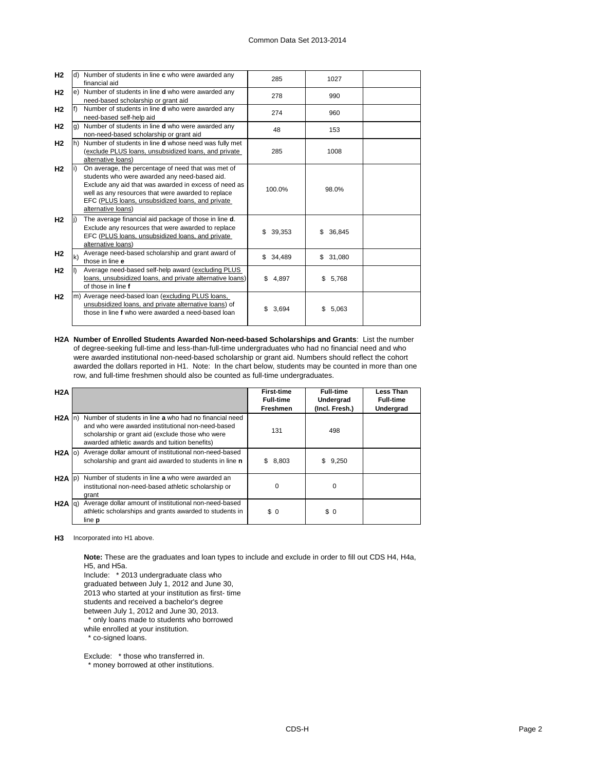| H <sub>2</sub> |              | d) Number of students in line c who were awarded any<br>financial aid                                                                                                                                                                                                                        | 285         | 1027        |  |
|----------------|--------------|----------------------------------------------------------------------------------------------------------------------------------------------------------------------------------------------------------------------------------------------------------------------------------------------|-------------|-------------|--|
| H <sub>2</sub> |              | e) Number of students in line <b>d</b> who were awarded any<br>need-based scholarship or grant aid                                                                                                                                                                                           | 278         | 990         |  |
| H <sub>2</sub> |              | Number of students in line <b>d</b> who were awarded any<br>need-based self-help aid                                                                                                                                                                                                         | 274         | 960         |  |
| H <sub>2</sub> | g)           | Number of students in line <b>d</b> who were awarded any<br>non-need-based scholarship or grant aid                                                                                                                                                                                          | 48          | 153         |  |
| H <sub>2</sub> | Ih)          | Number of students in line <b>d</b> whose need was fully met<br>(exclude PLUS loans, unsubsidized loans, and private<br>alternative loans)                                                                                                                                                   | 285         | 1008        |  |
| H <sub>2</sub> |              | On average, the percentage of need that was met of<br>students who were awarded any need-based aid.<br>Exclude any aid that was awarded in excess of need as<br>well as any resources that were awarded to replace<br>EFC (PLUS loans, unsubsidized loans, and private<br>alternative loans) | 100.0%      | 98.0%       |  |
| H <sub>2</sub> |              | The average financial aid package of those in line d.<br>Exclude any resources that were awarded to replace<br>EFC (PLUS loans, unsubsidized loans, and private<br>alternative loans)                                                                                                        | \$39,353    | \$36,845    |  |
| H <sub>2</sub> | $\mathbf{k}$ | Average need-based scholarship and grant award of<br>those in line e                                                                                                                                                                                                                         | \$34,489    | \$31,080    |  |
| H <sub>2</sub> |              | Average need-based self-help award (excluding PLUS<br>loans, unsubsidized loans, and private alternative loans)<br>of those in line f                                                                                                                                                        | \$4,897     | \$5,768     |  |
| H <sub>2</sub> |              | m) Average need-based loan (excluding PLUS loans,<br>unsubsidized loans, and private alternative loans) of<br>those in line f who were awarded a need-based loan                                                                                                                             | \$<br>3,694 | \$<br>5,063 |  |

**H2A Number of Enrolled Students Awarded Non-need-based Scholarships and Grants**: List the number of degree-seeking full-time and less-than-full-time undergraduates who had no financial need and who were awarded institutional non-need-based scholarship or grant aid. Numbers should reflect the cohort awarded the dollars reported in H1. Note: In the chart below, students may be counted in more than one row, and full-time freshmen should also be counted as full-time undergraduates.

| H2A        |                                                                                                                                                                                                                  | <b>First-time</b><br><b>Full-time</b><br><b>Freshmen</b> | <b>Full-time</b><br>Undergrad<br>(Incl. Fresh.) | Less Than<br><b>Full-time</b><br>Undergrad |
|------------|------------------------------------------------------------------------------------------------------------------------------------------------------------------------------------------------------------------|----------------------------------------------------------|-------------------------------------------------|--------------------------------------------|
| $H2A \ln$  | Number of students in line a who had no financial need<br>and who were awarded institutional non-need-based<br>scholarship or grant aid (exclude those who were<br>awarded athletic awards and tuition benefits) | 131                                                      | 498                                             |                                            |
| $H2A$ (0)  | Average dollar amount of institutional non-need-based<br>scholarship and grant aid awarded to students in line n                                                                                                 | \$<br>8,803                                              | 9,250<br>\$.                                    |                                            |
| $H2A$ $p)$ | Number of students in line a who were awarded an<br>institutional non-need-based athletic scholarship or<br>grant                                                                                                | $\Omega$                                                 | O                                               |                                            |
| H2A(q)     | Average dollar amount of institutional non-need-based<br>athletic scholarships and grants awarded to students in<br>line <b>p</b>                                                                                | \$0                                                      | \$0                                             |                                            |

**H3** Incorporated into H1 above.

**Note:** These are the graduates and loan types to include and exclude in order to fill out CDS H4, H4a, H5, and H5a.

Include: \* 2013 undergraduate class who

graduated between July 1, 2012 and June 30,

2013 who started at your institution as first- time

students and received a bachelor's degree

between July 1, 2012 and June 30, 2013.

\* only loans made to students who borrowed

while enrolled at your institution.

\* co-signed loans.

Exclude: \* those who transferred in.

\* money borrowed at other institutions.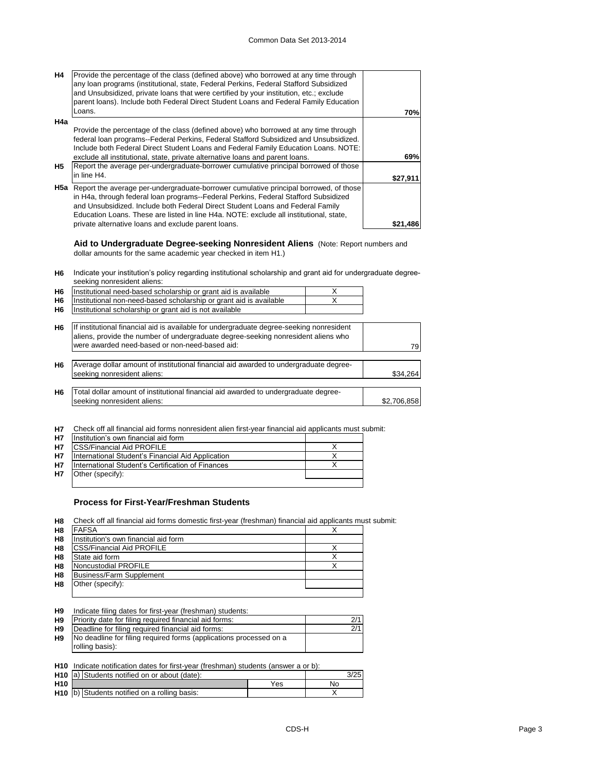| <b>H4</b> | Provide the percentage of the class (defined above) who borrowed at any time through<br>any loan programs (institutional, state, Federal Perkins, Federal Stafford Subsidized<br>and Unsubsidized, private loans that were certified by your institution, etc.; exclude<br>parent loans). Include both Federal Direct Student Loans and Federal Family Education                                                           |          |
|-----------|----------------------------------------------------------------------------------------------------------------------------------------------------------------------------------------------------------------------------------------------------------------------------------------------------------------------------------------------------------------------------------------------------------------------------|----------|
|           | Loans.                                                                                                                                                                                                                                                                                                                                                                                                                     | 70%      |
| H4a       |                                                                                                                                                                                                                                                                                                                                                                                                                            |          |
|           | Provide the percentage of the class (defined above) who borrowed at any time through<br>federal loan programs--Federal Perkins, Federal Stafford Subsidized and Unsubsidized.<br>Include both Federal Direct Student Loans and Federal Family Education Loans. NOTE:                                                                                                                                                       |          |
|           | exclude all institutional, state, private alternative loans and parent loans.                                                                                                                                                                                                                                                                                                                                              | 69%      |
| H5        | Report the average per-undergraduate-borrower cumulative principal borrowed of those                                                                                                                                                                                                                                                                                                                                       |          |
|           | in line H4.                                                                                                                                                                                                                                                                                                                                                                                                                | \$27,911 |
|           | <b>H5a</b> Report the average per-undergraduate-borrower cumulative principal borrowed, of those<br>in H4a, through federal loan programs--Federal Perkins, Federal Stafford Subsidized<br>and Unsubsidized. Include both Federal Direct Student Loans and Federal Family<br>Education Loans. These are listed in line H4a. NOTE: exclude all institutional, state,<br>private alternative loans and exclude parent loans. | \$21,486 |
|           |                                                                                                                                                                                                                                                                                                                                                                                                                            |          |

**Aid to Undergraduate Degree-seeking Nonresident Aliens** (Note: Report numbers and dollar amounts for the same academic year checked in item H1.)

**H6** Indicate your institution's policy regarding institutional scholarship and grant aid for undergraduate degreeseeking nonresident aliens:

| H <sub>6</sub> | Institutional need-based scholarship or grant aid is available                                                                                                                                                                  | Χ |             |
|----------------|---------------------------------------------------------------------------------------------------------------------------------------------------------------------------------------------------------------------------------|---|-------------|
| H <sub>6</sub> | Institutional non-need-based scholarship or grant aid is available                                                                                                                                                              |   |             |
| H <sub>6</sub> | Institutional scholarship or grant aid is not available                                                                                                                                                                         |   |             |
| H <sub>6</sub> | If institutional financial aid is available for undergraduate degree-seeking nonresident<br>aliens, provide the number of undergraduate degree-seeking nonresident aliens who<br>were awarded need-based or non-need-based aid: |   | 79          |
| H <sub>6</sub> | Average dollar amount of institutional financial aid awarded to undergraduate degree-<br>seeking nonresident aliens:                                                                                                            |   | \$34.264    |
| H <sub>6</sub> | Total dollar amount of institutional financial aid awarded to undergraduate degree-<br>seeking nonresident aliens:                                                                                                              |   | \$2,706.858 |

**H7** Check off all financial aid forms nonresident alien first-year financial aid applicants must submit:

| <b>H7</b> | Institution's own financial aid form              |  |
|-----------|---------------------------------------------------|--|
| <b>H7</b> | ICSS/Financial Aid PROFILE                        |  |
| <b>H7</b> | International Student's Financial Aid Application |  |
| <b>H7</b> | International Student's Certification of Finances |  |
| <b>H7</b> | Other (specify):                                  |  |
|           |                                                   |  |

## **Process for First-Year/Freshman Students**

**H8** Check off all financial aid forms domestic first-year (freshman) financial aid applicants must submit:

| H <sub>8</sub> | <b>FAFSA</b>                         |  |
|----------------|--------------------------------------|--|
| H <sub>8</sub> | Institution's own financial aid form |  |
| H <sub>8</sub> | <b>CSS/Financial Aid PROFILE</b>     |  |
| H <sub>8</sub> | State aid form                       |  |
| H <sub>8</sub> | Noncustodial PROFILE                 |  |
| H <sub>8</sub> | Business/Farm Supplement             |  |
| H <sub>8</sub> | Other (specify):                     |  |
|                |                                      |  |

| H <sub>9</sub> | Indicate filing dates for first-year (freshman) students:          |     |
|----------------|--------------------------------------------------------------------|-----|
| H <sub>9</sub> | Priority date for filing required financial aid forms:             | 2/1 |
| H9             | Deadline for filing required financial aid forms:                  | 2/1 |
| <b>H9</b>      | No deadline for filing required forms (applications processed on a |     |
|                | rolling basis):                                                    |     |

**H10** Indicate notification dates for first-year (freshman) students (answer a or b):

|                 | H <sub>10</sub> a) Students notified on or about (date): |     | 3/25 |
|-----------------|----------------------------------------------------------|-----|------|
| H <sub>10</sub> |                                                          | Yes | No   |
|                 | H10 b) Students notified on a rolling basis:             |     |      |